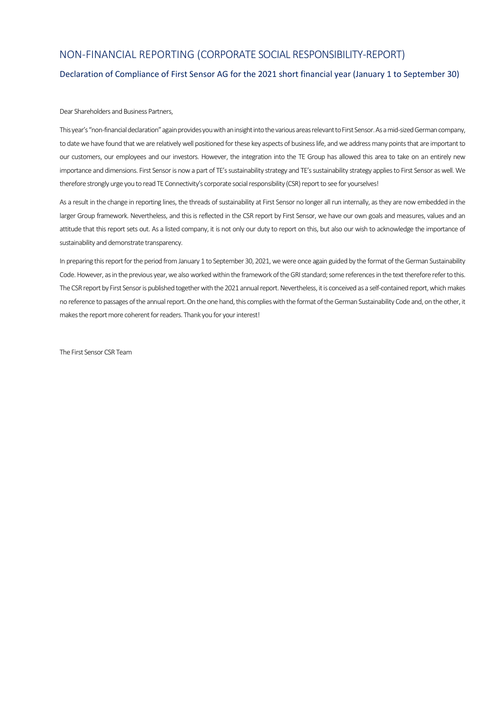# NON-FINANCIAL REPORTING (CORPORATE SOCIAL RESPONSIBILITY-REPORT)

## Declaration of Compliance of First Sensor AG for the 2021 short financial year (January 1 to September 30)

## Dear Shareholders and Business Partners,

This year's "non-financial declaration" again provides you with an insight into the various areas relevant to First Sensor. As a mid-sized German company, to date we have found that we are relatively well positioned for these key aspects of business life, and we address many points that are important to our customers, our employees and our investors. However, the integration into the TE Group has allowed this area to take on an entirely new importance and dimensions. First Sensor is now a part of TE's sustainability strategy and TE's sustainability strategy applies to First Sensor as well. We therefore strongly urge you to read TE Connectivity's corporate social responsibility (CSR) report to see for yourselves!

As a result in the change in reporting lines, the threads of sustainability at First Sensor no longer all run internally, as they are now embedded in the larger Group framework. Nevertheless, and this is reflected in the CSR report by First Sensor, we have our own goals and measures, values and an attitude that this report sets out. As a listed company, it is not only our duty to report on this, but also our wish to acknowledge the importance of sustainability and demonstrate transparency.

In preparing this report for the period from January 1 to September 30, 2021, we were once again guided by the format of the German Sustainability Code. However, as in the previous year, we also worked within the framework of the GRI standard; some references in the text therefore refer to this. The CSR report by First Sensor is published together with the 2021 annual report. Nevertheless, it is conceived as a self-contained report, which makes no reference to passages of the annual report. On the one hand, this complies with the format of the German Sustainability Code and, on the other, it makes the report more coherent for readers. Thank you for your interest!

The First Sensor CSR Team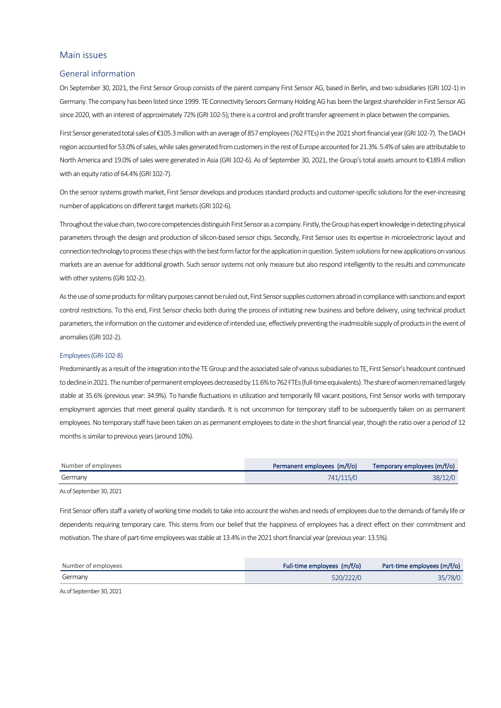## Main issues

### General information

On September 30, 2021, the First Sensor Group consists of the parent company First Sensor AG, based in Berlin, and two subsidiaries (GRI 102-1) in Germany. The company has been listed since 1999. TE Connectivity Sensors Germany Holding AG has been the largest shareholder in First Sensor AG since 2020, with an interest of approximately 72% (GRI 102-5); there is a control and profit transfer agreement in place between the companies.

First Sensor generated total sales of €105.3 million with an average of 857 employees (762 FTEs) in the 2021 short financial year (GRI 102-7). The DACH region accounted for 53.0% of sales, while sales generated from customers in the rest of Europe accounted for 21.3%. 5.4% of sales are attributable to North America and 19.0% of sales were generated in Asia (GRI 102-6). As of September 30, 2021, the Group's total assets amount to €189.4 million with an equity ratio of 64.4% (GRI 102-7).

On the sensor systems growth market, First Sensor develops and produces standard products and customer-specific solutions for the ever-increasing number of applications on different target markets (GRI 102-6).

Throughout the value chain, two core competencies distinguish First Sensor as a company. Firstly, the Group has expert knowledge in detecting physical parameters through the design and production of silicon-based sensor chips. Secondly, First Sensor uses its expertise in microelectronic layout and connection technology to process these chips with the best form factor for the application in question. System solutions for new applications on various markets are an avenue for additional growth. Such sensor systems not only measure but also respond intelligently to the results and communicate with other systems (GRI 102-2).

As the use of some products for military purposes cannot be ruled out, First Sensor supplies customers abroad in compliance with sanctions and export control restrictions. To this end, First Sensor checks both during the process of initiating new business and before delivery, using technical product parameters, the information on the customer and evidence of intended use, effectively preventing the inadmissible supply of products in the event of anomalies (GRI 102-2).

#### Employees(GRI-102-8)

Predominantly as a result of the integration into the TE Group and the associated sale of various subsidiaries to TE, First Sensor's headcount continued to decline in 2021. The number of permanent employees decreased by 11.6% to 762 FTEs (full-time equivalents). The share of women remained largely stable at 35.6% (previous year: 34.9%). To handle fluctuations in utilization and temporarily fill vacant positions, First Sensor works with temporary employment agencies that meet general quality standards. It is not uncommon for temporary staff to be subsequently taken on as permanent employees. No temporary staff have been taken on as permanent employees to date in the short financial year, though the ratio over a period of 12 months is similar to previous years (around 10%).

| Number of employees | Permanent employees (m/f/o) | Temporary employees (m/f/o) |
|---------------------|-----------------------------|-----------------------------|
| Germany             | 741/115/0                   | 38/12/0                     |
|                     |                             |                             |

As of September 30, 2021

First Sensor offers staff a variety of working time models to take into account the wishes and needs of employees due to the demands of family life or dependents requiring temporary care. This stems from our belief that the happiness of employees has a direct effect on their commitment and motivation. The share of part-time employees was stable at 13.4% in the 2021 short financial year (previous year: 13.5%).

| Number of employees | Full-time employees (m/f/o) | Part-time employees (m/f/o) |
|---------------------|-----------------------------|-----------------------------|
| Germany             | 520/222/0                   | 35/78/0                     |

As of September 30, 2021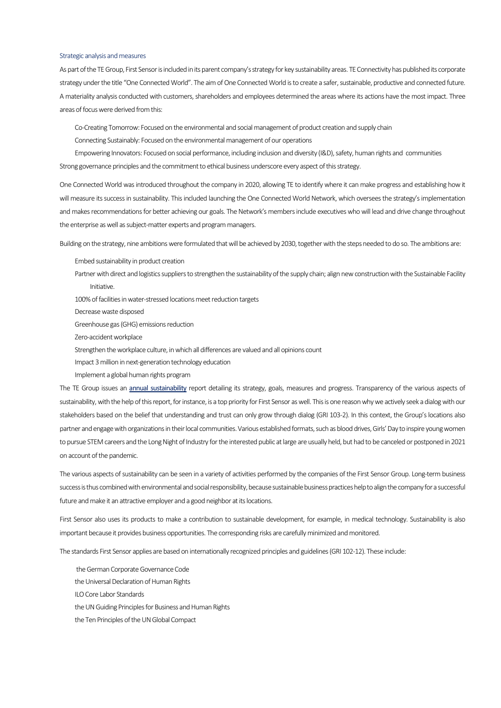#### Strategic analysis and measures

As part of theTE Group, First Sensor is included in its parent company's strategy for key sustainability areas. TE Connectivity has published its corporate strategy under the title "One Connected World". The aim of One Connected World is to create a safer, sustainable, productive and connected future. A materiality analysis conducted with customers, shareholders and employees determined the areas where its actions have the most impact. Three areas of focus were derived fromthis:

Co-Creating Tomorrow: Focused on the environmental and social management of product creation and supply chain

Connecting Sustainably: Focused on the environmental management of our operations

Empowering Innovators: Focused on social performance, including inclusion and diversity (I&D), safety, human rights and communities Strong governance principles and the commitment to ethical business underscore every aspect of this strategy.

One Connected World was introduced throughout the company in 2020, allowing TE to identify where it can make progress and establishing how it will measure its success in sustainability. This included launching the One Connected World Network, which oversees the strategy's implementation and makes recommendations for better achieving our goals. The Network's members include executives who will lead and drive change throughout the enterprise as well as subject-matter experts and program managers.

Building on the strategy, nine ambitions were formulated that will be achieved by 2030, together with the steps needed to do so. The ambitions are:

Embed sustainability in product creation

Partner with direct and logistics suppliers to strengthen the sustainability of the supply chain; align new construction with the Sustainable Facility Initiative.

100% of facilities in water-stressed locations meet reduction targets

Decrease waste disposed

Greenhouse gas (GHG) emissions reduction

Zero-accident workplace

Strengthen the workplace culture, in which all differences are valued and all opinions count

Impact 3 million in next-generation technology education

Implement a global human rights program

The TE Group issues an **[annual sustainability](https://www.te.com/content/dam/te-com/documents/about-te/corporate-responsibility/global/TEConnectivityCorporateResponsibilityReport2020.pdf)** report detailing its strategy, goals, measures and progress. Transparency of the various aspects of sustainability, with the help of thisreport, for instance, is a top priority for First Sensor as well. This is one reason why we actively seek a dialog with our stakeholders based on the belief that understanding and trust can only grow through dialog (GRI 103-2). In this context, the Group's locations also partner and engage with organizations in their local communities. Various established formats, such as blood drives, Girls' Day to inspire young women to pursue STEM careers and the Long Night of Industry for the interested public at large are usually held, but had to be canceled or postponed in 2021 on account of the pandemic.

The various aspects of sustainability can be seen in a variety of activities performed by the companies of the First Sensor Group. Long-term business success is thus combined with environmental and social responsibility, because sustainable business practices help to align the company for a successful future and make it an attractive employer and a good neighbor at its locations.

First Sensor also uses its products to make a contribution to sustainable development, for example, in medical technology. Sustainability is also important because it provides business opportunities. The corresponding risks are carefully minimized and monitored.

The standards First Sensor applies are based on internationally recognized principles and guidelines (GRI 102-12). These include:

the German Corporate Governance Code the Universal Declaration of Human Rights ILO Core Labor Standards the UN Guiding Principles for Business and Human Rights the Ten Principles of the UN Global Compact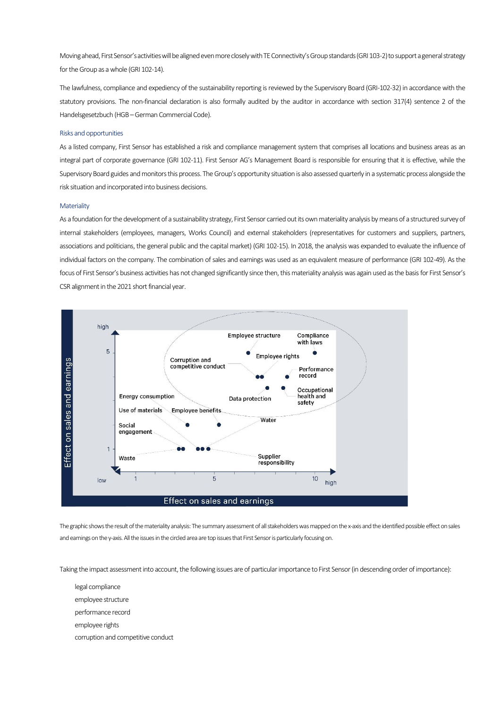Moving ahead, First Sensor's activities will be aligned even more closely with TE Connectivity's Group standards (GRI 103-2) to support a general strategy for the Group as a whole (GRI 102-14).

The lawfulness, compliance and expediency of the sustainability reporting is reviewed by the Supervisory Board (GRI-102-32) in accordance with the statutory provisions. The non-financial declaration is also formally audited by the auditor in accordance with section 317(4) sentence 2 of the Handelsgesetzbuch (HGB –German Commercial Code).

## Risks and opportunities

As a listed company, First Sensor has established a risk and compliance management system that comprises all locations and business areas as an integral part of corporate governance (GRI 102-11). First Sensor AG's Management Board is responsible for ensuring that it is effective, while the Supervisory Board guides and monitors this process. The Group's opportunity situation is also assessed quarterly in a systematic process alongside the risk situation and incorporated into business decisions.

## **Materiality**

As a foundation for the development of a sustainability strategy, First Sensor carried out its own materiality analysis by means of a structured survey of internal stakeholders (employees, managers, Works Council) and external stakeholders (representatives for customers and suppliers, partners, associations and politicians, the general public and the capital market) (GRI 102-15). In 2018, the analysis was expanded to evaluate the influence of individual factors on the company. The combination of sales and earnings was used as an equivalent measure of performance (GRI 102-49). As the focus of First Sensor's business activities has not changed significantly since then, this materiality analysis was again used as the basis for First Sensor's CSR alignment in the 2021 short financial year.



The graphic shows the result of the materiality analysis: The summary assessment of all stakeholders was mapped on the x-axis and the identified possible effect on sales and earnings on the y-axis. All the issues in the circled area are top issues that First Sensor is particularly focusing on.

Taking the impact assessment into account, the following issues are of particular importance to First Sensor (in descending order of importance):

- legal compliance
- employee structure
- performance record
- employee rights
- corruption and competitive conduct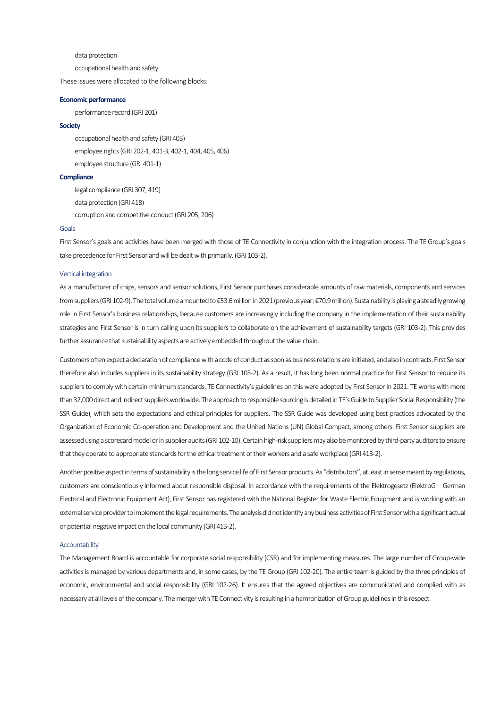data protection

occupational health and safety

These issues were allocated to the following blocks:

### **Economic performance**

performance record (GRI 201)

## **Society**

occupational health and safety (GRI 403) employee rights (GRI 202-1, 401-3, 402-1, 404, 405, 406) employee structure (GRI 401-1)

### **Compliance**

legal compliance (GRI 307, 419) data protection (GRI 418) corruption and competitive conduct (GRI 205, 206)

#### Goals

First Sensor's goals and activities have been merged with those of TE Connectivity in conjunction with the integration process. The TE Group's goals take precedence for First Sensor and will be dealt with primarily. (GRI 103-2).

## Vertical integration

As a manufacturer of chips, sensors and sensor solutions, First Sensor purchases considerable amounts of raw materials, components and services from suppliers (GRI 102-9). The total volume amounted to €53.6million in 2021 (previous year: €70.9 million). Sustainability is playing a steadily growing role in First Sensor's business relationships, because customers are increasingly including the company in the implementation of their sustainability strategies and First Sensor is in turn calling upon its suppliers to collaborate on the achievement of sustainability targets (GRI 103-2). This provides further assurance that sustainability aspects are actively embedded throughout the value chain.

Customers often expect a declaration of compliance with a code of conduct as soon as business relations are initiated, and also in contracts. First Sensor therefore also includes suppliers in its sustainability strategy (GRI 103-2). As a result, it has long been normal practice for First Sensor to require its suppliers to comply with certain minimum standards. TE Connectivity's guidelines on this were adopted by First Sensor in 2021. TE works with more than 32,000 direct and indirect suppliers worldwide. The approach to responsible sourcing is detailed in TE's Guide to Supplier Social Responsibility (the SSR Guide), which sets the expectations and ethical principles for suppliers. The SSR Guide was developed using best practices advocated by the Organization of Economic Co-operation and Development and the United Nations (UN) Global Compact, among others. First Sensor suppliers are assessed using a scorecard model or in supplier audits (GRI 102-10). Certain high-risk suppliers may also be monitored by third-party auditors to ensure that they operate to appropriate standards for the ethical treatment of their workers and a safe workplace (GRI 413-2).

Another positive aspect in terms of sustainability is the long service life of First Sensor products. As "distributors", at least in sense meant by regulations, customers are conscientiously informed about responsible disposal. In accordance with the requirements of the Elektrogesetz (ElektroG – German Electrical and Electronic Equipment Act), First Sensor has registered with the National Register for Waste Electric Equipment and is working with an external service provider to implement the legal requirements. The analysis did not identify any business activities of First Sensor with a significant actual or potential negative impact on the local community (GRI 413-2).

#### Accountability

The Management Board is accountable for corporate social responsibility (CSR) and for implementing measures. The large number of Group-wide activities is managed by various departments and, in some cases, by the TE Group (GRI 102-20). The entire team is guided by the three principles of economic, environmental and social responsibility (GRI 102-26). It ensures that the agreed objectives are communicated and complied with as necessary at all levels of the company. The merger with TE Connectivity is resulting in a harmonization of Group guidelines in this respect.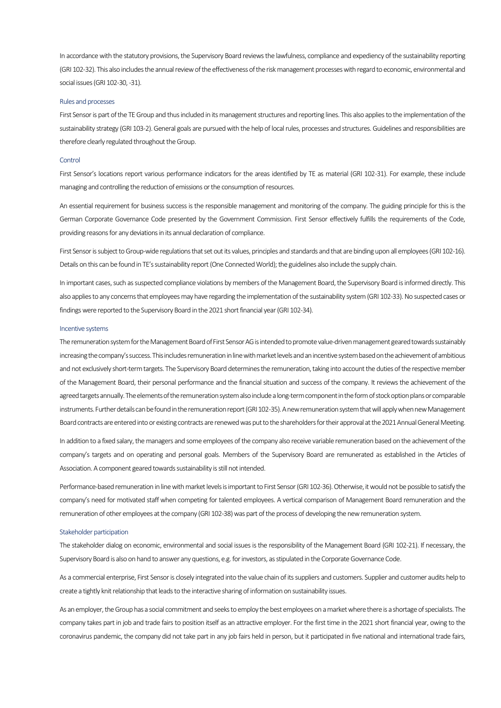In accordance with the statutory provisions, the Supervisory Board reviews the lawfulness, compliance and expediency of the sustainability reporting (GRI 102-32). This also includes the annual review of the effectiveness of the risk management processes with regard to economic, environmental and social issues (GRI 102-30, -31).

#### Rules and processes

First Sensor is part of the TE Group and thus included in its management structures and reporting lines. This also applies to the implementation of the sustainability strategy (GRI 103-2). General goals are pursued with the help of local rules, processes and structures. Guidelines and responsibilities are therefore clearly regulated throughout the Group.

## Control

First Sensor's locations report various performance indicators for the areas identified by TE as material (GRI 102-31). For example, these include managing and controlling the reduction of emissions or the consumption of resources.

An essential requirement for business success is the responsible management and monitoring of the company. The guiding principle for this is the German Corporate Governance Code presented by the Government Commission. First Sensor effectively fulfills the requirements of the Code, providing reasons for any deviations in its annual declaration of compliance.

First Sensor is subject to Group-wide regulations that set out its values, principles and standards and that are binding upon all employees (GRI 102-16). Details on this can be found in TE's sustainability report (One Connected World); the guidelines also include the supply chain.

In important cases, such as suspected compliance violations by members of the Management Board, the Supervisory Board is informed directly. This also applies to any concerns that employees may have regarding the implementation of the sustainability system (GRI 102-33). No suspected cases or findings were reported to the Supervisory Board in the 2021 short financial year (GRI 102-34).

#### Incentive systems

The remuneration system for the Management Board of First Sensor AG is intended to promote value-driven management geared towards sustainably increasing the company's success. This includes remuneration in line with market levels and an incentive system based on the achievementof ambitious and not exclusively short-term targets. The Supervisory Board determines the remuneration, taking into account the duties of the respective member of the Management Board, their personal performance and the financial situation and success of the company. It reviews the achievement of the agreed targets annually. The elements of the remuneration system also include a long-term component in the form of stock option plans or comparable instruments. Further details can be found in the remuneration report (GRI 102-35). A new remuneration system that will apply when new Management Board contracts are entered into or existing contracts are renewed was put to the shareholders for their approval at the 2021 Annual General Meeting.

In addition to a fixed salary, the managers and some employees of the company also receive variable remuneration based on the achievement of the company's targets and on operating and personal goals. Members of the Supervisory Board are remunerated as established in the Articles of Association. A component geared towards sustainability is still not intended.

Performance-based remuneration in line with market levels is important to First Sensor (GRI 102-36). Otherwise, it would not be possible to satisfy the company's need for motivated staff when competing for talented employees. A vertical comparison of Management Board remuneration and the remuneration of other employees at the company (GRI 102-38) was part of the process of developing the new remuneration system.

#### Stakeholder participation

The stakeholder dialog on economic, environmental and social issues is the responsibility of the Management Board (GRI 102-21). If necessary, the Supervisory Board is also on hand to answer any questions, e.g. for investors, as stipulated in the Corporate Governance Code.

As a commercial enterprise, First Sensor is closely integrated into the value chain of its suppliers and customers. Supplier and customer audits help to create a tightly knit relationship that leads to the interactive sharing of information on sustainability issues.

As an employer, the Group has a social commitment and seeks to employ the best employees on a market where there is a shortage of specialists. The company takes part in job and trade fairs to position itself as an attractive employer. For the first time in the 2021 short financial year, owing to the coronavirus pandemic, the company did not take part in any job fairs held in person, but it participated in five national and international trade fairs,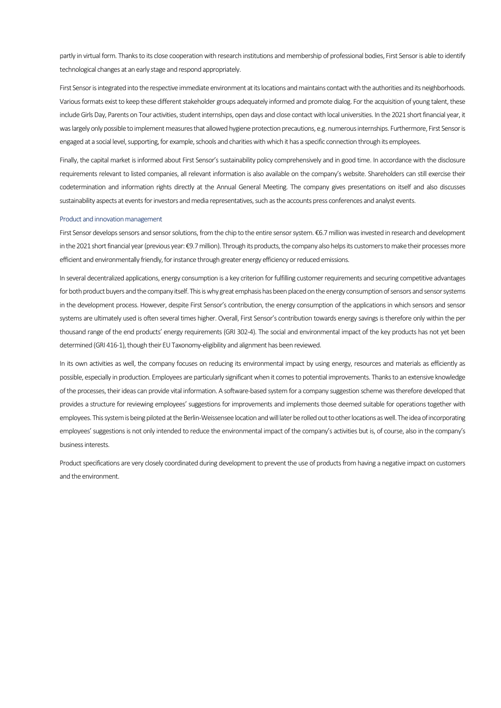partly in virtual form. Thanks to its close cooperation with research institutions and membership of professional bodies, First Sensor is able to identify technological changes at an early stage and respond appropriately.

First Sensor is integrated into the respective immediate environment at its locations and maintains contact with the authorities and its neighborhoods. Various formats exist to keep these different stakeholder groups adequately informed and promote dialog. For the acquisition of young talent, these include Girls Day, Parents on Tour activities, student internships, open days and close contact with local universities. In the 2021 short financial year, it was largely only possible to implement measures that allowed hygiene protection precautions, e.g. numerous internships. Furthermore, First Sensor is engaged at a social level, supporting, for example, schools and charities with which it has a specific connection through its employees.

Finally, the capital market is informed about First Sensor's sustainability policy comprehensively and in good time. In accordance with the disclosure requirements relevant to listed companies, all relevant information is also available on the company's website. Shareholders can still exercise their codetermination and information rights directly at the Annual General Meeting. The company gives presentations on itself and also discusses sustainability aspects at events for investors and media representatives, such as the accounts press conferences and analyst events.

#### Product and innovation management

First Sensor develops sensors and sensor solutions, from the chip to the entire sensor system. €6.7 million was invested in research and development in the 2021 short financial year (previous year: €9.7 million). Through its products, the company also helps its customers to make their processes more efficient and environmentally friendly, for instance through greater energy efficiency or reduced emissions.

In several decentralized applications, energy consumption is a key criterion for fulfilling customer requirements and securing competitive advantages for both product buyers and the company itself. This is why great emphasis has been placed on the energy consumption of sensors and sensor systems in the development process. However, despite First Sensor's contribution, the energy consumption of the applications in which sensors and sensor systems are ultimately used is often several times higher. Overall, First Sensor's contribution towards energy savings is therefore only within the per thousand range of the end products' energy requirements (GRI 302-4). The social and environmental impact of the key products has not yet been determined (GRI 416-1), though their EU Taxonomy-eligibility and alignment has been reviewed.

In its own activities as well, the company focuses on reducing its environmental impact by using energy, resources and materials as efficiently as possible, especially in production. Employees are particularly significant when it comes to potential improvements. Thanks to an extensive knowledge of the processes, their ideas can provide vital information. A software-based system for a company suggestion scheme was therefore developed that provides a structure for reviewing employees' suggestions for improvements and implements those deemed suitable for operations together with employees. This system is being piloted at the Berlin-Weissensee location and will later be rolled out to other locations as well. The idea of incorporating employees' suggestions is not only intended to reduce the environmental impact of the company's activities but is, of course, also in the company's business interests.

Product specifications are very closely coordinated during development to prevent the use of products from having a negative impact on customers and the environment.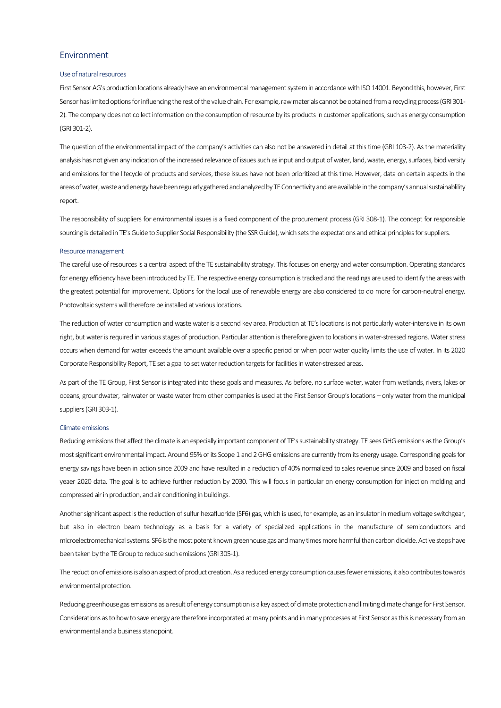## Environment

#### Use of natural resources

First Sensor AG's production locations already have an environmental management system in accordance with ISO 14001. Beyond this, however, First Sensor has limited options for influencing the rest of the value chain. For example, raw materials cannot be obtained from a recycling process (GRI 301- 2). The company does not collect information on the consumption of resource by its products in customer applications, such as energy consumption (GRI 301-2).

The question of the environmental impact of the company's activities can also not be answered in detail at this time (GRI 103-2). As the materiality analysis has not given any indication of the increased relevance of issues such as input and output of water, land, waste, energy, surfaces, biodiversity and emissions for the lifecycle of products and services, these issues have not been prioritized at this time. However, data on certain aspects in the areas of water, waste and energy have been regularly gathered and analyzed by TE Connectivity and are available in the company's annual sustainablility report.

The responsibility of suppliers for environmental issues is a fixed component of the procurement process (GRI 308-1). The concept for responsible sourcing is detailed in TE's Guide to Supplier Social Responsibility (the SSR Guide), which sets the expectations and ethical principles for suppliers.

#### Resource management

The careful use of resources is a central aspect of the TE sustainability strategy. This focuses on energy and water consumption. Operating standards for energy efficiency have been introduced by TE. The respective energy consumption is tracked and the readings are used to identify the areas with the greatest potential for improvement. Options for the local use of renewable energy are also considered to do more for carbon-neutral energy. Photovoltaic systems will therefore be installed at various locations.

The reduction of water consumption and waste water is a second key area. Production at TE's locations is not particularly water-intensive in its own right, but water is required in various stages of production. Particular attention is therefore given to locations in water-stressed regions. Water stress occurs when demand for water exceeds the amount available over a specific period or when poor water quality limits the use of water. In its 2020 Corporate Responsibility Report, TE set a goal to set water reduction targets for facilities inwater-stressed areas.

As part of the TE Group, First Sensor is integrated into these goals and measures. As before, no surface water, water from wetlands, rivers, lakes or oceans, groundwater, rainwater or waste water from other companies is used at the First Sensor Group's locations – only water from the municipal suppliers (GRI 303-1).

### Climate emissions

Reducing emissions that affect the climate is an especially important component of TE's sustainability strategy. TE sees GHG emissions as the Group's most significant environmental impact. Around 95% of its Scope 1 and 2 GHG emissions are currently from its energy usage. Corresponding goals for energy savings have been in action since 2009 and have resulted in a reduction of 40% normalized to sales revenue since 2009 and based on fiscal yeaer 2020 data. The goal is to achieve further reduction by 2030. This will focus in particular on energy consumption for injection molding and compressed air in production, and air conditioning in buildings.

Another significant aspect is the reduction of sulfur hexafluoride (SF6) gas, which is used, for example, as an insulator in medium voltage switchgear, but also in electron beam technology as a basis for a variety of specialized applications in the manufacture of semiconductors and microelectromechanical systems. SF6 is the most potent known greenhouse gas and many times more harmful than carbon dioxide. Active steps have been taken by the TE Group to reduce such emissions (GRI 305-1).

The reduction of emissions is also an aspect of product creation. As a reduced energy consumption causes fewer emissions, it also contributes towards environmental protection.

Reducing greenhouse gas emissions as a result of energy consumption is a key aspect of climate protection and limiting climate change for First Sensor. Considerations as to how to save energy are therefore incorporated at many points and in many processes at First Sensor as this is necessary from an environmental and a business standpoint.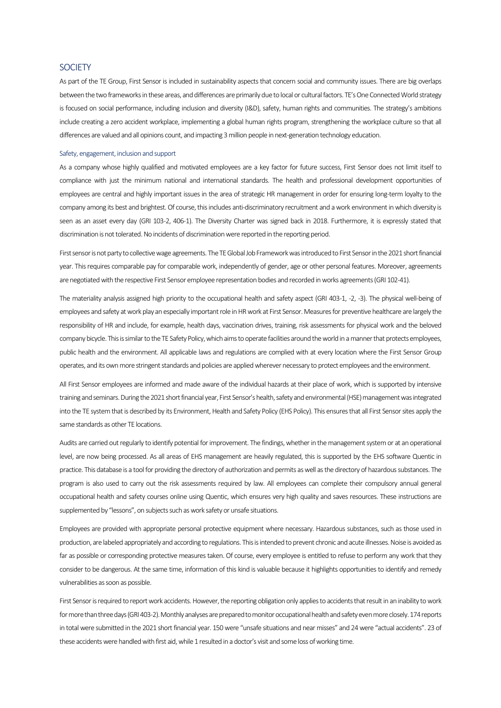## **SOCIETY**

As part of the TE Group, First Sensor is included in sustainability aspects that concern social and community issues. There are big overlaps between the two frameworks in these areas, and differences are primarily due to local or cultural factors. TE's One Connected World strategy is focused on social performance, including inclusion and diversity (I&D), safety, human rights and communities. The strategy's ambitions include creating a zero accident workplace, implementing a global human rights program, strengthening the workplace culture so that all differences are valued and all opinions count, and impacting 3 million people in next-generation technology education.

#### Safety, engagement, inclusion and support

As a company whose highly qualified and motivated employees are a key factor for future success, First Sensor does not limit itself to compliance with just the minimum national and international standards. The health and professional development opportunities of employees are central and highly important issues in the area of strategic HR management in order for ensuring long-term loyalty to the company among its best and brightest. Of course, this includes anti-discriminatory recruitment and a work environment in which diversity is seen as an asset every day (GRI 103-2, 406-1). The Diversity Charter was signed back in 2018. Furthermore, it is expressly stated that discrimination is not tolerated. No incidents of discrimination were reported in the reporting period.

First sensor is not party to collective wage agreements. The TE Global Job Framework was introduced to First Sensor in the 2021 short financial year. This requires comparable pay for comparable work, independently of gender, age or other personal features. Moreover, agreements are negotiated with the respective First Sensor employee representation bodies and recorded in works agreements (GRI 102-41).

The materiality analysis assigned high priority to the occupational health and safety aspect (GRI 403-1, -2, -3). The physical well-being of employees and safety at work play an especially important role in HR work at First Sensor. Measures for preventive healthcare are largely the responsibility of HR and include, for example, health days, vaccination drives, training, risk assessments for physical work and the beloved company bicycle. This is similar to the TE Safety Policy, which aims to operate facilities around the world in a manner that protects employees, public health and the environment. All applicable laws and regulations are complied with at every location where the First Sensor Group operates, and its own more stringent standards and policies are applied wherever necessary to protect employees and the environment.

All First Sensor employees are informed and made aware of the individual hazards at their place of work, which is supported by intensive training and seminars. During the 2021 short financial year, First Sensor's health, safety and environmental (HSE) management was integrated into the TE system that is described by its Environment, Health and Safety Policy (EHS Policy). This ensures that all First Sensor sites apply the same standards as other TE locations.

Audits are carried out regularly to identify potential for improvement. The findings, whether in the management system or at an operational level, are now being processed. As all areas of EHS management are heavily regulated, this is supported by the EHS software Quentic in practice. This database is a tool for providing the directory of authorization and permits as well as the directory of hazardous substances. The program is also used to carry out the risk assessments required by law. All employees can complete their compulsory annual general occupational health and safety courses online using Quentic, which ensures very high quality and saves resources. These instructions are supplemented by "lessons", on subjects such as work safety or unsafe situations.

Employees are provided with appropriate personal protective equipment where necessary. Hazardous substances, such as those used in production, are labeled appropriately and according to regulations. This is intended to prevent chronic and acute illnesses. Noise is avoided as far as possible or corresponding protective measures taken. Of course, every employee is entitled to refuse to perform any work that they consider to be dangerous. At the same time, information of this kind is valuable because it highlights opportunities to identify and remedy vulnerabilities as soon as possible.

First Sensor is required to report work accidents. However, the reporting obligation only applies to accidents that result in an inability to work for more than three days(GRI 403-2). Monthly analyses are prepared to monitor occupational health and safety even more closely. 174reports in total were submitted in the 2021 short financial year. 150were "unsafe situations and near misses" and 24were "actual accidents". 23 of these accidents were handled with first aid, while 1 resulted in a doctor's visit and some loss of working time.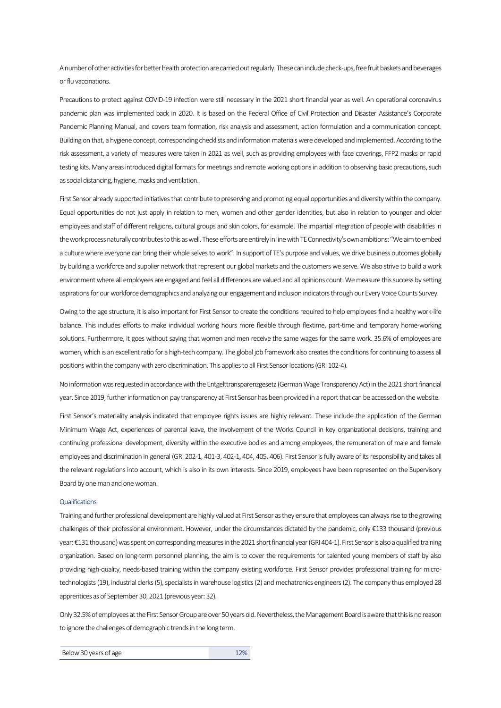A number of other activities for better health protection are carried out regularly. These can include check-ups, free fruit baskets and beverages or flu vaccinations.

Precautions to protect against COVID-19 infection were still necessary in the 2021 short financial year as well. An operational coronavirus pandemic plan was implemented back in 2020. It is based on the Federal Office of Civil Protection and Disaster Assistance's Corporate Pandemic Planning Manual, and covers team formation, risk analysis and assessment, action formulation and a communication concept. Building on that, a hygiene concept, corresponding checklists and information materials were developed and implemented. According to the risk assessment, a variety of measures were taken in 2021 as well, such as providing employees with face coverings, FFP2 masks or rapid testing kits. Many areas introduced digital formats for meetings and remote working options in addition to observing basic precautions, such as social distancing, hygiene, masks and ventilation.

First Sensor already supported initiatives that contribute to preserving and promoting equal opportunities and diversity within the company. Equal opportunities do not just apply in relation to men, women and other gender identities, but also in relation to younger and older employees and staff of different religions, cultural groups and skin colors, for example. The impartial integration of people with disabilities in the work process naturally contributes to this as well. These efforts are entirely in line with TE Connectivity's own ambitions: "We aim to embed a culture where everyone can bring their whole selves to work". In support of TE's purpose and values, we drive business outcomes globally by building a workforce and supplier network that represent our global markets and the customers we serve. We also strive to build a work environment where all employees are engaged and feel all differences are valued and all opinions count. We measure this success by setting aspirations for our workforce demographics and analyzing our engagement and inclusion indicators through our Every Voice Counts Survey.

Owing to the age structure, it is also important for First Sensor to create the conditions required to help employees find a healthy work-life balance. This includes efforts to make individual working hours more flexible through flextime, part-time and temporary home-working solutions. Furthermore, it goes without saying that women and men receive the same wages for the same work. 35.6% of employees are women, which is an excellent ratio for a high-tech company. The global job framework also creates the conditions for continuing to assess all positions within the company with zero discrimination. This applies to all First Sensor locations (GRI 102-4).

No information was requested in accordance with the Entgelttransparenzgesetz (German Wage Transparency Act) in the 2021 short financial year. Since 2019, further information on pay transparency at First Sensor has been provided in a report that can be accessed on the website.

First Sensor's materiality analysis indicated that employee rights issues are highly relevant. These include the application of the German Minimum Wage Act, experiences of parental leave, the involvement of the Works Council in key organizational decisions, training and continuing professional development, diversity within the executive bodies and among employees, the remuneration of male and female employees and discrimination in general (GRI 202-1, 401-3, 402-1, 404, 405, 406). First Sensor is fully aware of its responsibility and takes all the relevant regulations into account, which is also in its own interests. Since 2019, employees have been represented on the Supervisory Board by one man and one woman.

#### **Qualifications**

Training and further professional development are highly valued at First Sensor as they ensure that employees can always rise to the growing challenges of their professional environment. However, under the circumstances dictated by the pandemic, only €133 thousand (previous year: €131 thousand) was spent on corresponding measures in the 2021 short financial year (GRI 404-1). First Sensor is also a qualified training organization. Based on long-term personnel planning, the aim is to cover the requirements for talented young members of staff by also providing high-quality, needs-based training within the company existing workforce. First Sensor provides professional training for microtechnologists (19), industrial clerks (5), specialists in warehouse logistics (2) and mechatronics engineers (2). The company thus employed 28 apprentices as of September 30, 2021 (previous year: 32).

Only 32.5% of employees at the First Sensor Group are over 50 years old. Nevertheless, the Management Board is aware that this is noreason to ignore the challenges of demographic trends in the long term.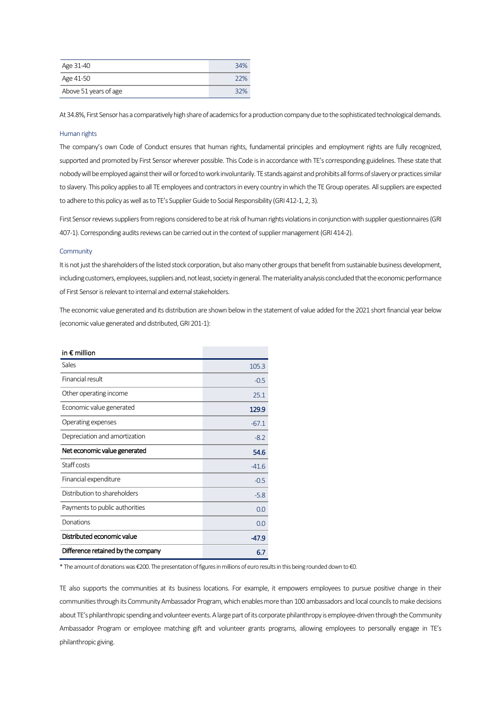| Age 31-40             | 34% |
|-----------------------|-----|
| Age 41-50             | 22% |
| Above 51 years of age | 32% |

At 34.8%, First Sensor has a comparatively high share of academics for a production company due to the sophisticated technological demands.

#### Human rights

The company's own Code of Conduct ensures that human rights, fundamental principles and employment rights are fully recognized, supported and promoted by First Sensor wherever possible. This Code is in accordance with TE's corresponding guidelines. These state that nobody will be employed against their will or forced to work involuntarily. TE stands against and prohibits all forms of slavery or practices similar to slavery. This policy applies to all TE employees and contractors in every country in which the TE Group operates. All suppliers are expected to adhere to this policy as well as to TE's Supplier Guide to Social Responsibility (GRI 412-1, 2, 3).

First Sensor reviews suppliers from regions considered to be at risk of human rights violations in conjunction with supplier questionnaires (GRI 407-1). Corresponding audits reviews can be carried out in the context of supplier management (GRI 414-2).

#### **Community**

It is not just the shareholders of the listed stock corporation, but also many other groups that benefit from sustainable business development, including customers, employees, suppliers and, not least, society in general. The materiality analysis concluded that the economic performance of First Sensor is relevant to internal and external stakeholders.

The economic value generated and its distribution are shown below in the statement of value added for the 2021 short financial year below (economic value generated and distributed, GRI 201-1):

| in $\epsilon$ million              |         |
|------------------------------------|---------|
| Sales                              | 105.3   |
| Financial result                   | $-0.5$  |
| Other operating income             | 25.1    |
| Economic value generated           | 129.9   |
| Operating expenses                 | $-67.1$ |
| Depreciation and amortization      | $-8.2$  |
| Net economic value generated       | 54.6    |
| Staff costs                        | $-41.6$ |
| Financial expenditure              | $-0.5$  |
| Distribution to shareholders       | $-5.8$  |
| Payments to public authorities     | 0.0     |
| Donations                          | 0.0     |
| Distributed economic value         | -47.9   |
| Difference retained by the company | 6.7     |

\* The amount of donations was €200. The presentation of figures in millions of euro results in this being rounded down to €0.

TE also supports the communities at its business locations. For example, it empowers employees to pursue positive change in their communities through its Community Ambassador Program, which enables more than 100 ambassadors and local councils to make decisions about TE's philanthropic spending and volunteer events. A large partof its corporate philanthropy is employee-driven through the Community Ambassador Program or employee matching gift and volunteer grants programs, allowing employees to personally engage in TE's philanthropic giving.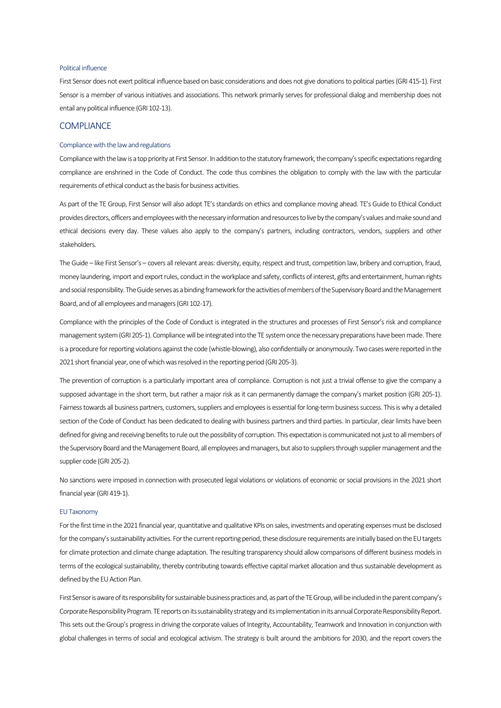## Political influence

First Sensor does not exert political influence based on basic considerations and does not give donations to political parties (GRI 415-1). First Sensor is a member of various initiatives and associations. This network primarily serves for professional dialog and membership does not entail any political influence (GRI 102-13).

## **COMPLIANCE**

## Compliance with the law and regulations

Compliance with the law is a top priority at First Sensor. In addition to the statutory framework, the company's specific expectations regarding compliance are enshrined in the Code of Conduct. The code thus combines the obligation to comply with the law with the particular requirements of ethical conduct as the basis for business activities.

As part of the TE Group, First Sensor will also adopt TE's standards on ethics and compliance moving ahead. TE's Guide to Ethical Conduct provides directors, officers and employees with the necessary information and resources to live by the company's values and make sound and ethical decisions every day. These values also apply to the company's partners, including contractors, vendors, suppliers and other stakeholders.

The Guide – like First Sensor's – covers all relevant areas: diversity, equity, respect and trust, competition law, bribery and corruption, fraud, money laundering, import and export rules, conduct in the workplace and safety, conflicts of interest, gifts and entertainment, human rights and social responsibility. The Guide serves as a binding framework for the activities of members of the Supervisory Board andthe Management Board, and of all employees and managers (GRI 102-17).

Compliance with the principles of the Code of Conduct is integrated in the structures and processes of First Sensor's risk and compliance management system (GRI 205-1). Compliance will be integrated into the TE system once the necessary preparations have been made. There is a procedure for reporting violations against the code (whistle-blowing), also confidentially or anonymously. Two cases were reported in the 2021 short financial year, one of which was resolved in the reporting period (GRI 205-3).

The prevention of corruption is a particularly important area of compliance. Corruption is not just a trivial offense to give the company a supposed advantage in the short term, but rather a major risk as it can permanently damage the company's market position (GRI 205-1). Fairness towards all business partners, customers, suppliers and employees is essential for long-term business success. This is why a detailed section of the Code of Conduct has been dedicated to dealing with business partners and third parties. In particular, clear limits have been defined for giving and receiving benefits to rule out the possibility of corruption. This expectation is communicated not just to all members of the Supervisory Board and the Management Board, all employees and managers, but also to suppliers through supplier management and the supplier code (GRI 205-2).

No sanctions were imposed in connection with prosecuted legal violations or violations of economic or social provisions in the 2021 short financial year (GRI 419-1).

#### EU Taxonomy

For the first time in the 2021 financial year, quantitative and qualitative KPIs on sales, investments and operating expenses must be disclosed for the company's sustainability activities. For the current reporting period, these disclosure requirements are initially based on the EU targets for climate protection and climate change adaptation. The resulting transparency should allow comparisons of different business models in terms of the ecological sustainability, thereby contributing towards effective capital market allocation and thus sustainable development as defined by the EU Action Plan.

First Sensor is aware of its responsibility for sustainable business practices and, as part of the TE Group, will be includedin the parent company's Corporate Responsibility Program. TE reports on its sustainability strategy and its implementation in its annual Corporate Responsibility Report. This sets out the Group's progress in driving the corporate values of Integrity, Accountability, Teamwork and Innovation in conjunction with global challenges in terms of social and ecological activism. The strategy is built around the ambitions for 2030, and the report covers the